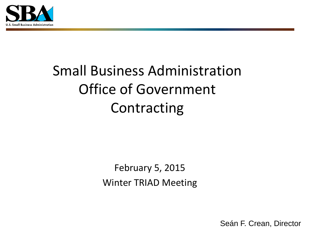

# Small Business Administration Office of Government **Contracting**

February 5, 2015 Winter TRIAD Meeting

Seán F. Crean, Director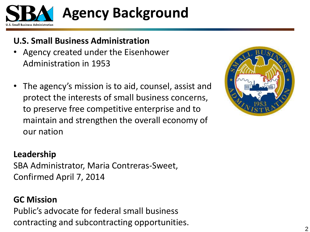

# **Agency Background**

### **U.S. Small Business Administration**

- Agency created under the Eisenhower Administration in 1953
- The agency's mission is to aid, counsel, assist and protect the interests of small business concerns, to preserve free competitive enterprise and to maintain and strengthen the overall economy of our nation



#### **Leadership**

SBA Administrator, Maria Contreras-Sweet, Confirmed April 7, 2014

### **GC Mission**

Public's advocate for federal small business contracting and subcontracting opportunities.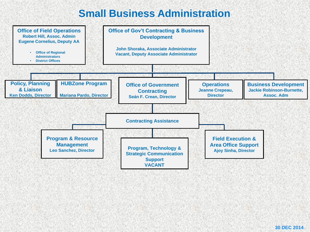# **Small Business Administration**

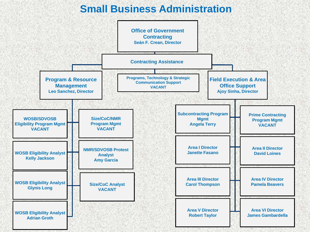# **Small Business Administration**

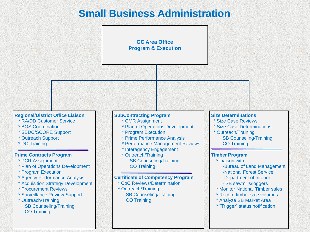# **Small Business Administration**

#### **GC Area Office Program & Execution**

#### **Regional/District Office Liaison**

- \* RA/DD Customer Service
- \* BOS Coordination
- \* SBDC/SCORE Support
- \* Outreach Support
- \* DO Training

#### **Prime Contracts Program**

- \* PCR Assignment
- \* Plan of Operations Development
- \* Program Execution
- \* Agency Performance Analysis
- \* Acquisition Strategy Development
- \* Procurement Reviews
- \* Surveillance Review Support
- \* Outreach/Training SB Counseling/Training CO Training

#### **SubContracting Program**

- \* CMR Assignment
- \* Plan of Operations Development
- \* Program Execution
- \* Prime Performance Analysis
- \* Performance Management Reviews
- \* Interagency Engagement
- \* Outreach/Training SB Counseling/Training CO Training

#### **Certificate of Competency Program**

CoC Reviews/Determination \* Outreach/Training SB Counseling/Training CO Training

#### **Size Determinations**

- **Size Case Reviews**
- **Size Case Determinations**
- \* Outreach/Training SB Counseling/Training CO Training

#### **Timber Program**

- \* Liaison with
	- -Bureau of Land Management
	- -National Forest Service
	- -Department of Interior
	- SB sawmills/loggers
- \* Monitor National Timber sales
- \* Record timber sale volumes
- \* Analyze SB Market Area
- \* "Trigger" status notification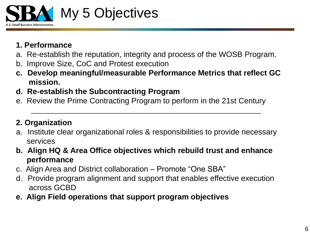

#### **1. Performance**

- a. Re-establish the reputation, integrity and process of the WOSB Program.
- b. Improve Size, CoC and Protest execution
- **c. Develop meaningful/measurable Performance Metrics that reflect GC mission.**
- **d. Re-establish the Subcontracting Program**
- e. Review the Prime Contracting Program to perform in the 21st Century

#### **2. Organization**

- a. Institute clear organizational roles & responsibilities to provide necessary services
- **b. Align HQ & Area Office objectives which rebuild trust and enhance performance**
- c. Align Area and District collaboration Promote "One SBA"
- d. Provide program alignment and support that enables effective execution across GCBD
- **e. Align Field operations that support program objectives**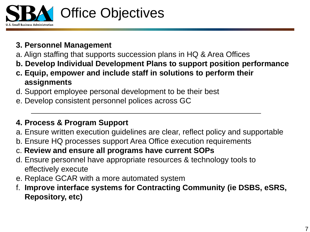

#### **3. Personnel Management**

- a. Align staffing that supports succession plans in HQ & Area Offices
- **b. Develop Individual Development Plans to support position performance**
- **c. Equip, empower and include staff in solutions to perform their assignments**
- d. Support employee personal development to be their best
- e. Develop consistent personnel polices across GC

#### **4. Process & Program Support**

- a. Ensure written execution guidelines are clear, reflect policy and supportable
- b. Ensure HQ processes support Area Office execution requirements
- c. **Review and ensure all programs have current SOPs**
- d. Ensure personnel have appropriate resources & technology tools to effectively execute
- e. Replace GCAR with a more automated system
- f. **Improve interface systems for Contracting Community (ie DSBS, eSRS, Repository, etc)**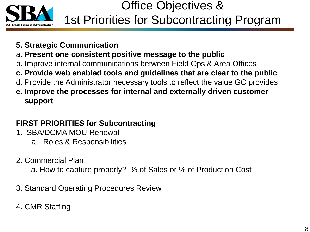

# Office Objectives & 1st Priorities for Subcontracting Program

- **5. Strategic Communication**
- a. **Present one consistent positive message to the public**
- b. Improve internal communications between Field Ops & Area Offices
- **c. Provide web enabled tools and guidelines that are clear to the public**
- d. Provide the Administrator necessary tools to reflect the value GC provides
- **e. Improve the processes for internal and externally driven customer support**

### **FIRST PRIORITIES for Subcontracting**

- 1. SBA/DCMA MOU Renewal
	- a. Roles & Responsibilities
- 2. Commercial Plan
	- a. How to capture properly? % of Sales or % of Production Cost
- 3. Standard Operating Procedures Review
- 4. CMR Staffing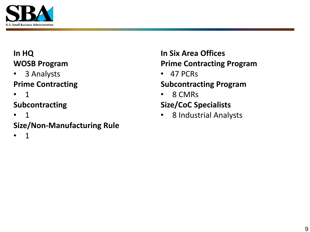

### **In HQ WOSB Program**

- 3 Analysts **Prime Contracting**
- 1

### **Subcontracting**

• 1

## **Size/Non-Manufacturing Rule**

• 1

#### **In Six Area Offices Prime Contracting Program**

• 47 PCRs

### **Subcontracting Program**

• 8 CMRs

### **Size/CoC Specialists**

• 8 Industrial Analysts